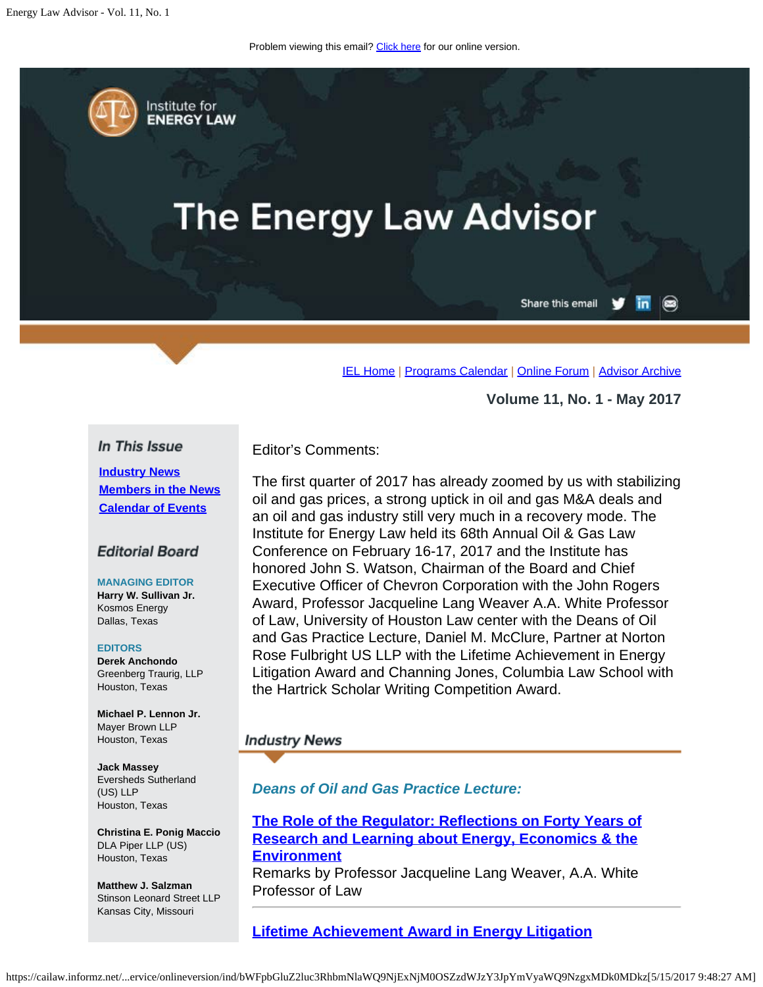Problem viewing this email? [Click here](#page-0-0) for our online version.

<span id="page-0-0"></span>Institute for **ENERGY LAW** 

# **The Energy Law Advisor**

Share this email in  $\circledcirc$ 

[IEL Home](http://www.cailaw.org/institute-for-energy-law/index.html?utm_source=Informz&utm_medium=Email&utm_campaign=Event+Details) | [Programs Calendar](http://www.cailaw.org/institute-for-energy-law/programs-calendar.html?utm_source=Informz&utm_medium=Email&utm_campaign=Event+Details) | [Online Forum](https://www.linkedin.com/groups?gid=2330688&trk=myg_ugrp_ovr) | [Advisor Archive](http://www.cailaw.org/institute-for-energy-law/publications/energy-law-advisor.html?utm_source=Informz&utm_medium=Email&utm_campaign=Event+Details)

**Volume 11, No. 1 - May 2017**

#### In This Issue

**[Industry News](#page-0-0) [Members in the News](#page-0-0) [Calendar of Events](#page-0-0)**

#### **Editorial Board**

**MANAGING EDITOR Harry W. Sullivan Jr.** Kosmos Energy Dallas, Texas

#### **EDITORS**

**Derek Anchondo** Greenberg Traurig, LLP Houston, Texas

**Michael P. Lennon Jr.** Mayer Brown LLP Houston, Texas

**Jack Massey** Eversheds Sutherland (US) LLP Houston, Texas

**Christina E. Ponig Maccio** DLA Piper LLP (US) Houston, Texas

**Matthew J. Salzman** Stinson Leonard Street LLP Kansas City, Missouri

Editor's Comments:

The first quarter of 2017 has already zoomed by us with stabilizing oil and gas prices, a strong uptick in oil and gas M&A deals and an oil and gas industry still very much in a recovery mode. The Institute for Energy Law held its 68th Annual Oil & Gas Law Conference on February 16-17, 2017 and the Institute has honored John S. Watson, Chairman of the Board and Chief Executive Officer of Chevron Corporation with the John Rogers Award, Professor Jacqueline Lang Weaver A.A. White Professor of Law, University of Houston Law center with the Deans of Oil and Gas Practice Lecture, Daniel M. McClure, Partner at Norton Rose Fulbright US LLP with the Lifetime Achievement in Energy Litigation Award and Channing Jones, Columbia Law School with the Hartrick Scholar Writing Competition Award.

#### **Industry News**

*Deans of Oil and Gas Practice Lecture:*

**[The Role of the Regulator: Reflections on Forty Years of](http://www.cailaw.org/media/files/IEL/Publications/2017/jweaver-deans-2017.pdf) [Research and Learning about Energy, Economics & the](http://www.cailaw.org/media/files/IEL/Publications/2017/jweaver-deans-2017.pdf) [Environment](http://www.cailaw.org/media/files/IEL/Publications/2017/jweaver-deans-2017.pdf)**

Remarks by Professor Jacqueline Lang Weaver, A.A. White Professor of Law

**[Lifetime Achievement Award in Energy Litigation](http://www.cailaw.org/media/files/IEL/Publications/2017/dmcclure-elit-2017.pdf)**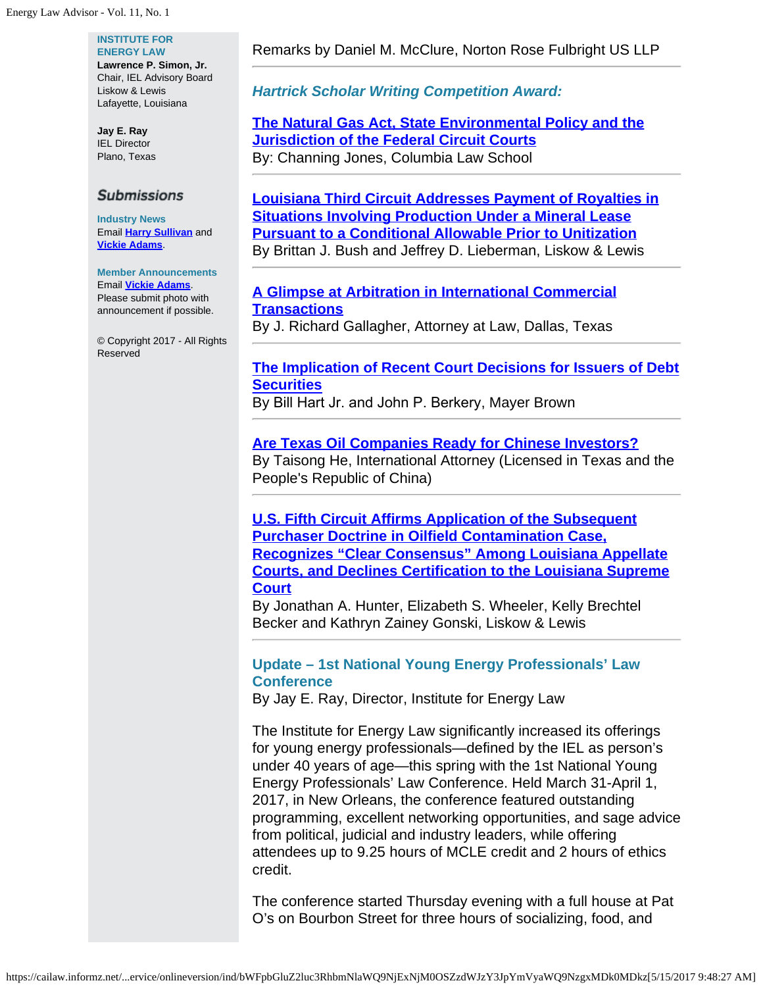#### **INSTITUTE FOR ENERGY LAW**

**Lawrence P. Simon, Jr.** Chair, IEL Advisory Board Liskow & Lewis Lafayette, Louisiana

**Jay E. Ray** IEL Director Plano, Texas

#### **Submissions**

**Industry News** Email **[Harry Sullivan](mailto:sullivanhw@aol.com)** and **[Vickie Adams](mailto:vadams@cailaw.org)**.

#### **Member Announcements** Email **[Vickie Adams](mailto:vadams@cailaw.org)**. Please submit photo with announcement if possible.

© Copyright 2017 - All Rights Reserved

### Remarks by Daniel M. McClure, Norton Rose Fulbright US LLP

*Hartrick Scholar Writing Competition Award:*

## **[The Natural Gas Act, State Environmental Policy and the](http://www.cailaw.org/media/files/IEL/Publications/2017/hartrick-winner-vol11no1.pdf) [Jurisdiction of the Federal Circuit Courts](http://www.cailaw.org/media/files/IEL/Publications/2017/hartrick-winner-vol11no1.pdf)** By: Channing Jones, Columbia Law School

**[Louisiana Third Circuit Addresses Payment of Royalties in](http://www.cailaw.org/media/files/IEL/Publications/2017/la-third-circuit-vol11no1.pdf) [Situations Involving Production Under a Mineral Lease](http://www.cailaw.org/media/files/IEL/Publications/2017/la-third-circuit-vol11no1.pdf) [Pursuant to a Conditional Allowable Prior to Unitization](http://www.cailaw.org/media/files/IEL/Publications/2017/la-third-circuit-vol11no1.pdf)** By Brittan J. Bush and Jeffrey D. Lieberman, Liskow & Lewis

## **[A Glimpse at Arbitration in International Commercial](http://www.cailaw.org/media/files/IEL/Publications/2017/glimpse-arbitration-vol11no1.pdf) [Transactions](http://www.cailaw.org/media/files/IEL/Publications/2017/glimpse-arbitration-vol11no1.pdf)**

By J. Richard Gallagher, Attorney at Law, Dallas, Texas

# **[The Implication of Recent Court Decisions for Issuers of Debt](http://www.cailaw.org/media/files/IEL/Publications/2017/marblegate-vol11no1.pdf) [Securities](http://www.cailaw.org/media/files/IEL/Publications/2017/marblegate-vol11no1.pdf)**

By Bill Hart Jr. and John P. Berkery, Mayer Brown

## **[Are Texas Oil Companies Ready for Chinese Investors?](http://www.cailaw.org/media/files/IEL/Publications/2017/tx-oil-chinese-vol11no1.pdf)** By Taisong He, International Attorney (Licensed in Texas and the People's Republic of China)

**[U.S. Fifth Circuit Affirms Application of the Subsequent](http://www.cailaw.org/media/files/IEL/Publications/2017/subsequent-doctrine-vol11no1.pdf) [Purchaser Doctrine in Oilfield Contamination Case,](http://www.cailaw.org/media/files/IEL/Publications/2017/subsequent-doctrine-vol11no1.pdf) [Recognizes "Clear Consensus" Among Louisiana Appellate](http://www.cailaw.org/media/files/IEL/Publications/2017/subsequent-doctrine-vol11no1.pdf) [Courts, and Declines Certification to the Louisiana Supreme](http://www.cailaw.org/media/files/IEL/Publications/2017/subsequent-doctrine-vol11no1.pdf) [Court](http://www.cailaw.org/media/files/IEL/Publications/2017/subsequent-doctrine-vol11no1.pdf)**

By Jonathan A. Hunter, Elizabeth S. Wheeler, Kelly Brechtel Becker and Kathryn Zainey Gonski, Liskow & Lewis

# **Update – 1st National Young Energy Professionals' Law Conference**

By Jay E. Ray, Director, Institute for Energy Law

The Institute for Energy Law significantly increased its offerings for young energy professionals—defined by the IEL as person's under 40 years of age—this spring with the 1st National Young Energy Professionals' Law Conference. Held March 31-April 1, 2017, in New Orleans, the conference featured outstanding programming, excellent networking opportunities, and sage advice from political, judicial and industry leaders, while offering attendees up to 9.25 hours of MCLE credit and 2 hours of ethics credit.

The conference started Thursday evening with a full house at Pat O's on Bourbon Street for three hours of socializing, food, and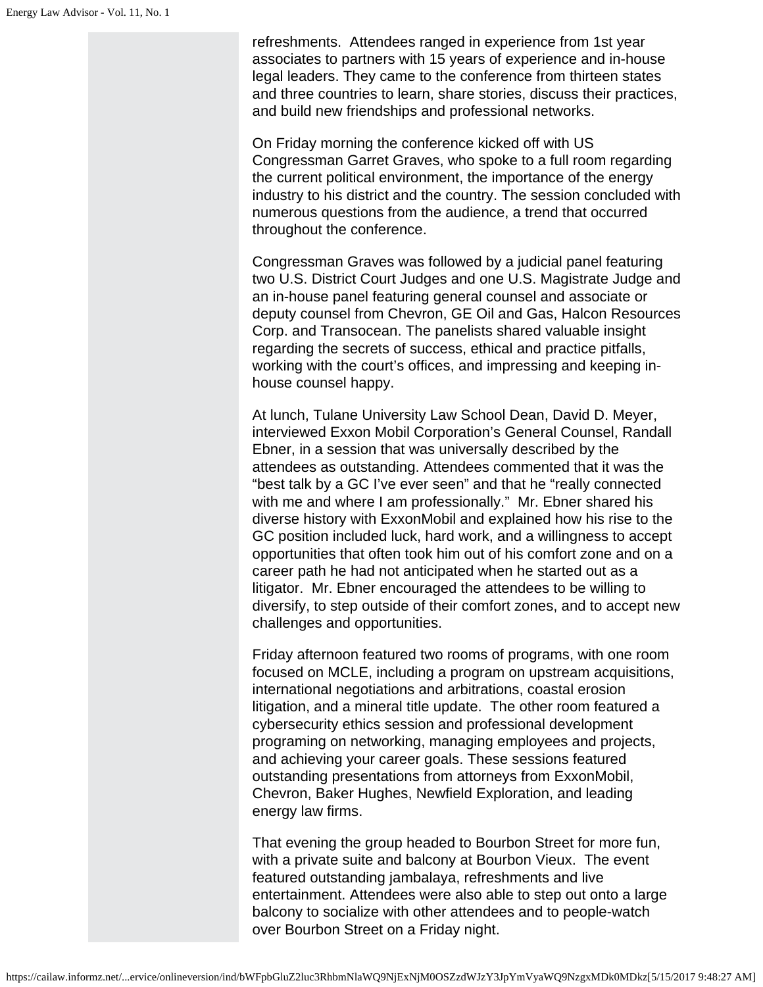refreshments. Attendees ranged in experience from 1st year associates to partners with 15 years of experience and in-house legal leaders. They came to the conference from thirteen states and three countries to learn, share stories, discuss their practices, and build new friendships and professional networks.

On Friday morning the conference kicked off with US Congressman Garret Graves, who spoke to a full room regarding the current political environment, the importance of the energy industry to his district and the country. The session concluded with numerous questions from the audience, a trend that occurred throughout the conference.

Congressman Graves was followed by a judicial panel featuring two U.S. District Court Judges and one U.S. Magistrate Judge and an in-house panel featuring general counsel and associate or deputy counsel from Chevron, GE Oil and Gas, Halcon Resources Corp. and Transocean. The panelists shared valuable insight regarding the secrets of success, ethical and practice pitfalls, working with the court's offices, and impressing and keeping inhouse counsel happy.

At lunch, Tulane University Law School Dean, David D. Meyer, interviewed Exxon Mobil Corporation's General Counsel, Randall Ebner, in a session that was universally described by the attendees as outstanding. Attendees commented that it was the "best talk by a GC I've ever seen" and that he "really connected with me and where I am professionally." Mr. Ebner shared his diverse history with ExxonMobil and explained how his rise to the GC position included luck, hard work, and a willingness to accept opportunities that often took him out of his comfort zone and on a career path he had not anticipated when he started out as a litigator. Mr. Ebner encouraged the attendees to be willing to diversify, to step outside of their comfort zones, and to accept new challenges and opportunities.

Friday afternoon featured two rooms of programs, with one room focused on MCLE, including a program on upstream acquisitions, international negotiations and arbitrations, coastal erosion litigation, and a mineral title update. The other room featured a cybersecurity ethics session and professional development programing on networking, managing employees and projects, and achieving your career goals. These sessions featured outstanding presentations from attorneys from ExxonMobil, Chevron, Baker Hughes, Newfield Exploration, and leading energy law firms.

That evening the group headed to Bourbon Street for more fun, with a private suite and balcony at Bourbon Vieux. The event featured outstanding jambalaya, refreshments and live entertainment. Attendees were also able to step out onto a large balcony to socialize with other attendees and to people-watch over Bourbon Street on a Friday night.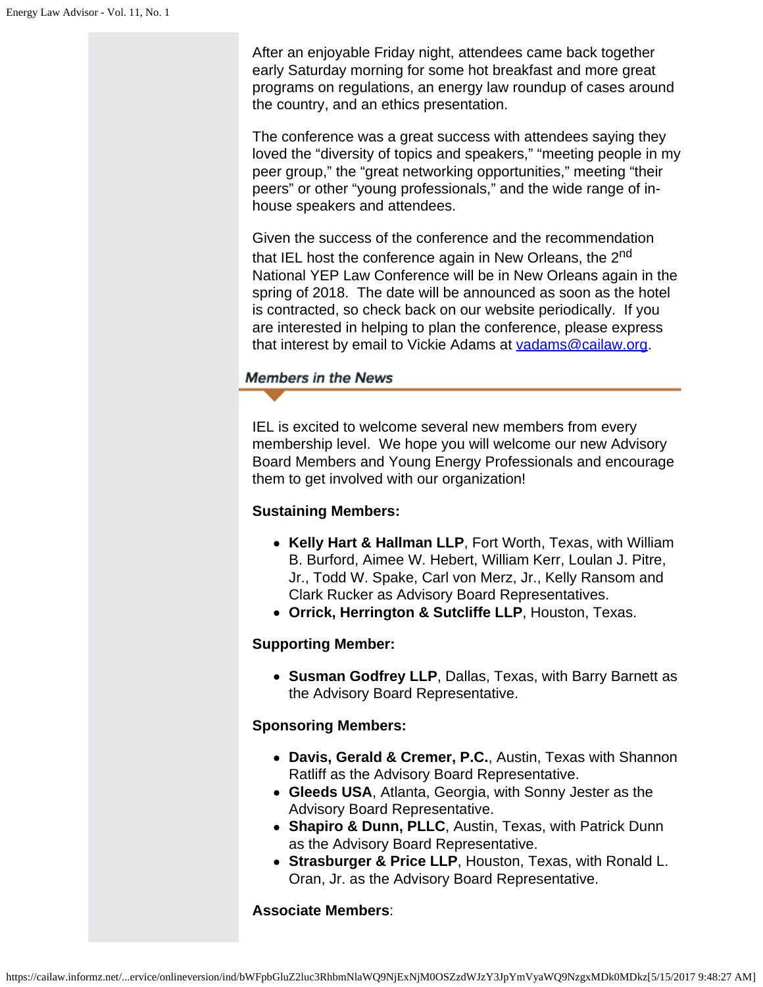After an enjoyable Friday night, attendees came back together early Saturday morning for some hot breakfast and more great programs on regulations, an energy law roundup of cases around the country, and an ethics presentation.

The conference was a great success with attendees saying they loved the "diversity of topics and speakers," "meeting people in my peer group," the "great networking opportunities," meeting "their peers" or other "young professionals," and the wide range of inhouse speakers and attendees.

Given the success of the conference and the recommendation that IEL host the conference again in New Orleans, the 2<sup>nd</sup> National YEP Law Conference will be in New Orleans again in the spring of 2018. The date will be announced as soon as the hotel is contracted, so check back on our website periodically. If you are interested in helping to plan the conference, please express that interest by email to Vickie Adams at [vadams@cailaw.org](mailto:vadams@cailaw.org).

# **Members in the News**

IEL is excited to welcome several new members from every membership level. We hope you will welcome our new Advisory Board Members and Young Energy Professionals and encourage them to get involved with our organization!

# **Sustaining Members:**

- **Kelly Hart & Hallman LLP**, Fort Worth, Texas, with William B. Burford, Aimee W. Hebert, William Kerr, Loulan J. Pitre, Jr., Todd W. Spake, Carl von Merz, Jr., Kelly Ransom and Clark Rucker as Advisory Board Representatives.
- **Orrick, Herrington & Sutcliffe LLP**, Houston, Texas.

# **Supporting Member:**

**Susman Godfrey LLP**, Dallas, Texas, with Barry Barnett as the Advisory Board Representative.

# **Sponsoring Members:**

- **Davis, Gerald & Cremer, P.C.**, Austin, Texas with Shannon Ratliff as the Advisory Board Representative.
- **Gleeds USA**, Atlanta, Georgia, with Sonny Jester as the Advisory Board Representative.
- **Shapiro & Dunn, PLLC**, Austin, Texas, with Patrick Dunn as the Advisory Board Representative.
- **Strasburger & Price LLP**, Houston, Texas, with Ronald L. Oran, Jr. as the Advisory Board Representative.

#### **Associate Members**: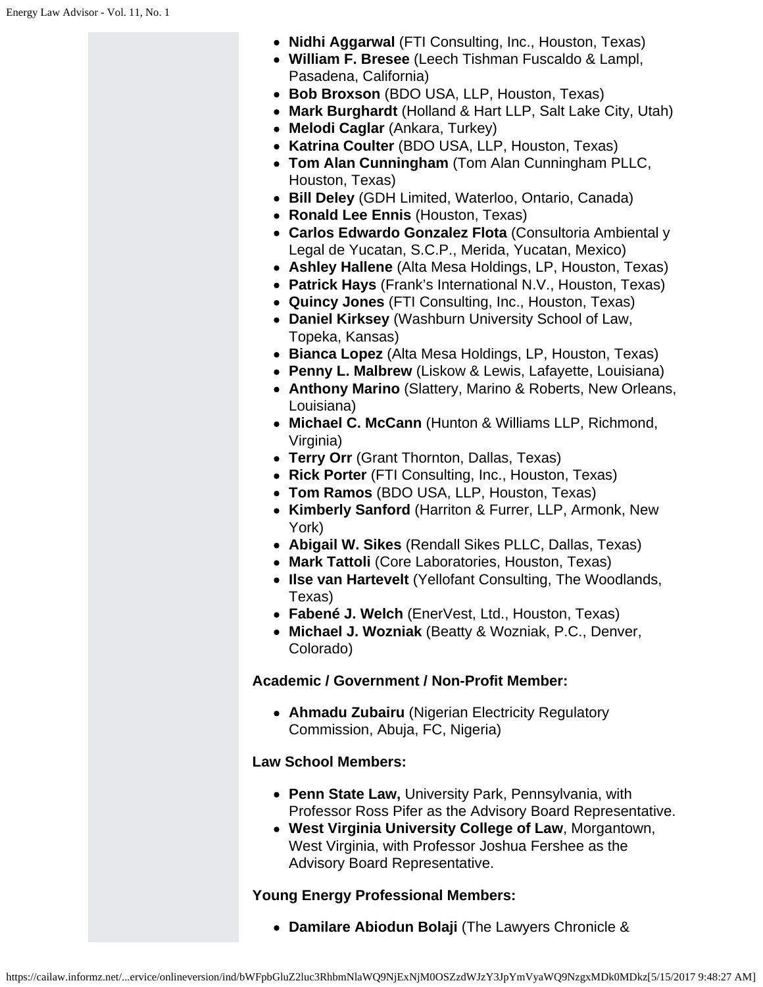- **Nidhi Aggarwal** (FTI Consulting, Inc., Houston, Texas)
- **William F. Bresee** (Leech Tishman Fuscaldo & Lampl, Pasadena, California)
- **Bob Broxson** (BDO USA, LLP, Houston, Texas)
- **Mark Burghardt** (Holland & Hart LLP, Salt Lake City, Utah)
- **Melodi Caglar** (Ankara, Turkey)
- **Katrina Coulter** (BDO USA, LLP, Houston, Texas)
- **Tom Alan Cunningham** (Tom Alan Cunningham PLLC, Houston, Texas)
- **Bill Deley** (GDH Limited, Waterloo, Ontario, Canada)
- **Ronald Lee Ennis** (Houston, Texas)
- **Carlos Edwardo Gonzalez Flota** (Consultoria Ambiental y Legal de Yucatan, S.C.P., Merida, Yucatan, Mexico)
- **Ashley Hallene** (Alta Mesa Holdings, LP, Houston, Texas)
- **Patrick Hays** (Frank's International N.V., Houston, Texas)
- **Quincy Jones** (FTI Consulting, Inc., Houston, Texas)
- **Daniel Kirksey** (Washburn University School of Law, Topeka, Kansas)
- **Bianca Lopez** (Alta Mesa Holdings, LP, Houston, Texas)
- **Penny L. Malbrew** (Liskow & Lewis, Lafayette, Louisiana)
- **Anthony Marino** (Slattery, Marino & Roberts, New Orleans, Louisiana)
- **Michael C. McCann** (Hunton & Williams LLP, Richmond, Virginia)
- **Terry Orr** (Grant Thornton, Dallas, Texas)
- **Rick Porter** (FTI Consulting, Inc., Houston, Texas)
- **Tom Ramos** (BDO USA, LLP, Houston, Texas)
- **Kimberly Sanford** (Harriton & Furrer, LLP, Armonk, New York)
- **Abigail W. Sikes** (Rendall Sikes PLLC, Dallas, Texas)
- **Mark Tattoli** (Core Laboratories, Houston, Texas)
- **Ilse van Hartevelt** (Yellofant Consulting, The Woodlands, Texas)
- **Fabené J. Welch** (EnerVest, Ltd., Houston, Texas)
- **Michael J. Wozniak** (Beatty & Wozniak, P.C., Denver, Colorado)

#### **Academic / Government / Non-Profit Member:**

**Ahmadu Zubairu** (Nigerian Electricity Regulatory Commission, Abuja, FC, Nigeria)

#### **Law School Members:**

- **Penn State Law,** University Park, Pennsylvania, with Professor Ross Pifer as the Advisory Board Representative.
- **West Virginia University College of Law**, Morgantown, West Virginia, with Professor Joshua Fershee as the Advisory Board Representative.

#### **Young Energy Professional Members:**

**Damilare Abiodun Bolaji** (The Lawyers Chronicle &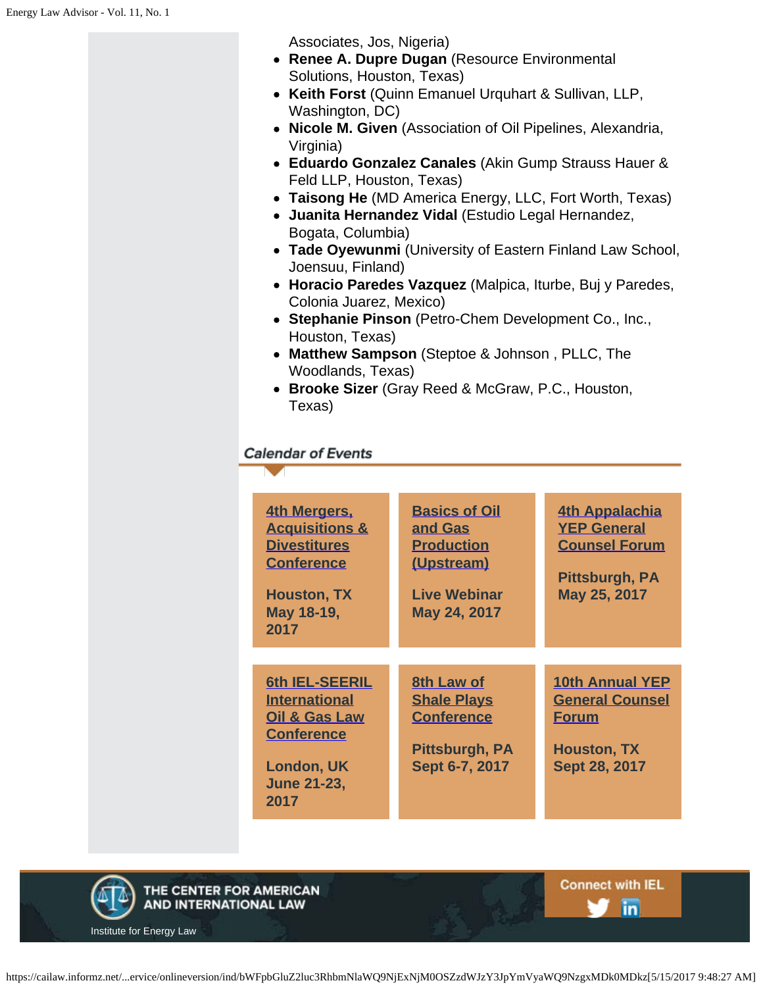Associates, Jos, Nigeria)

- **Renee A. Dupre Dugan** (Resource Environmental Solutions, Houston, Texas)
- **Keith Forst** (Quinn Emanuel Urquhart & Sullivan, LLP, Washington, DC)
- **Nicole M. Given** (Association of Oil Pipelines, Alexandria, Virginia)
- **Eduardo Gonzalez Canales** (Akin Gump Strauss Hauer & Feld LLP, Houston, Texas)
- **Taisong He** (MD America Energy, LLC, Fort Worth, Texas)
- **Juanita Hernandez Vidal** (Estudio Legal Hernandez, Bogata, Columbia)
- **Tade Oyewunmi** (University of Eastern Finland Law School, Joensuu, Finland)
- **Horacio Paredes Vazquez** (Malpica, Iturbe, Buj y Paredes, Colonia Juarez, Mexico)
- **Stephanie Pinson** (Petro-Chem Development Co., Inc., Houston, Texas)
- **Matthew Sampson** (Steptoe & Johnson , PLLC, The Woodlands, Texas)
- **Brooke Sizer** (Gray Reed & McGraw, P.C., Houston, Texas)

# **Calendar of Events**

| 4th Mergers,<br><b>Acquisitions &amp;</b><br><b>Divestitures</b><br><b>Conference</b><br><b>Houston, TX</b><br>May 18-19,<br>2017          | <b>Basics of Oil</b><br>and Gas<br><b>Production</b><br>(Upstream)<br><b>Live Webinar</b><br>May 24, 2017 | <b>4th Appalachia</b><br><b>YEP General</b><br><b>Counsel Forum</b><br>Pittsburgh, PA<br>May 25, 2017   |
|--------------------------------------------------------------------------------------------------------------------------------------------|-----------------------------------------------------------------------------------------------------------|---------------------------------------------------------------------------------------------------------|
| <b>6th IEL-SEERIL</b><br><b>International</b><br><b>Oil &amp; Gas Law</b><br><b>Conference</b><br>London, UK<br><b>June 21-23,</b><br>2017 | <b>8th Law of</b><br><b>Shale Plays</b><br><b>Conference</b><br>Pittsburgh, PA<br>Sept 6-7, 2017          | <b>10th Annual YEP</b><br><b>General Counsel</b><br><b>Forum</b><br><b>Houston, TX</b><br>Sept 28, 2017 |



**Connect with IEL In**